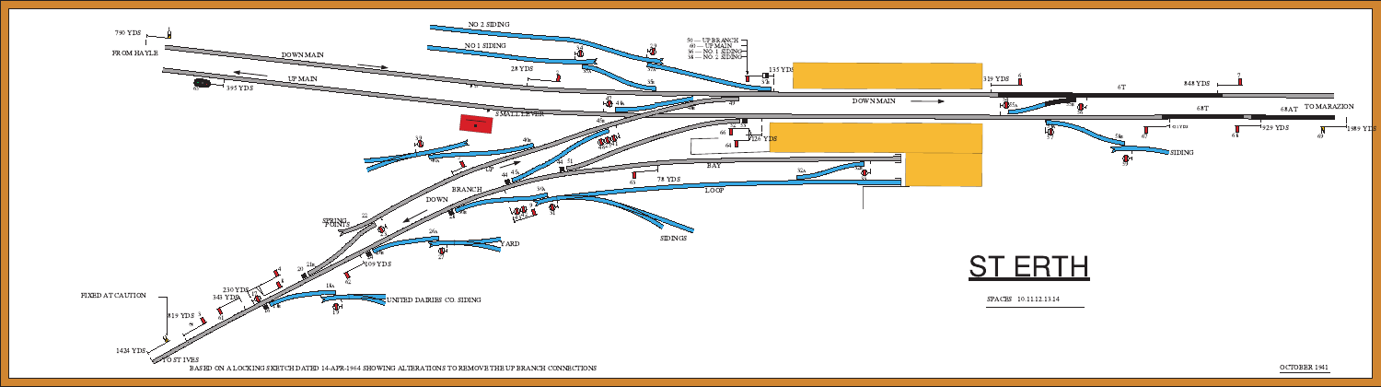